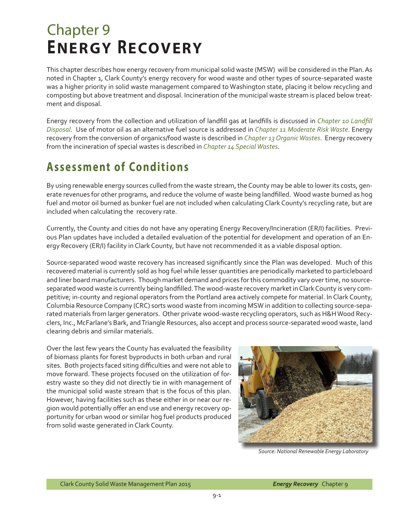# Chapter 9 **ENERGY RECOVERY**

This chapter describes how energy recovery from municipal solid waste (MSW) will be considered in the Plan. As noted in Chapter 1, Clark County's energy recovery for wood waste and other types of source-separated waste was a higher priority in solid waste management compared to Washington state, placing it below recycling and composting but above treatment and disposal. Incineration of the municipal waste stream is placed below treatment and disposal.

Energy recovery from the collection and utilization of landfill gas at landfills is discussed in *Chapter 10 Landfill Disposal*. Use of motor oil as an alternative fuel source is addressed in *Chapter 11 Moderate Risk Waste*. Energy recovery from the conversion of organics/food waste is described in *Chapter 13 Organic Wastes*. Energy recovery from the incineration of special wastes is described in *Chapter 14 Special Wastes*.

# **Assessment of Conditions**

By using renewable energy sources culled from the waste stream, the County may be able to lower its costs, generate revenues for other programs, and reduce the volume of waste being landfilled. Wood waste burned as hog fuel and motor oil burned as bunker fuel are not included when calculating Clark County's recycling rate, but are included when calculating the recovery rate.

Currently, the County and cities do not have any operating Energy Recovery/Incineration (ER/I) facilities. Previous Plan updates have included a detailed evaluation of the potential for development and operation of an Energy Recovery (ER/I) facility in Clark County, but have not recommended it as a viable disposal option.

Source-separated wood waste recovery has increased significantly since the Plan was developed. Much of this recovered material is currently sold as hog fuel while lesser quantities are periodically marketed to particleboard and liner board manufacturers. Though market demand and prices for this commodity vary over time, no sourceseparated wood waste is currently being landfilled. The wood-waste recovery market in Clark County is very competitive; in-county and regional operators from the Portland area actively compete for material. In Clark County, Columbia Resource Company (CRC) sorts wood waste from incoming MSW in addition to collecting source-separated materials from larger generators. Other private wood-waste recycling operators, such as H&H Wood Recyclers, Inc., McFarlane's Bark, and Triangle Resources, also accept and process source-separated wood waste, land clearing debris and similar materials.

Over the last few years the County has evaluated the feasibility of biomass plants for forest byproducts in both urban and rural sites. Both projects faced siting difficulties and were not able to move forward. These projects focused on the utilization of forestry waste so they did not directly tie in with management of the municipal solid waste stream that is the focus of this plan. However, having facilities such as these either in or near our region would potentially offer an end use and energy recovery opportunity for urban wood or similar hog fuel products produced from solid waste generated in Clark County.



*Source: National Renewable Energy Laboratory*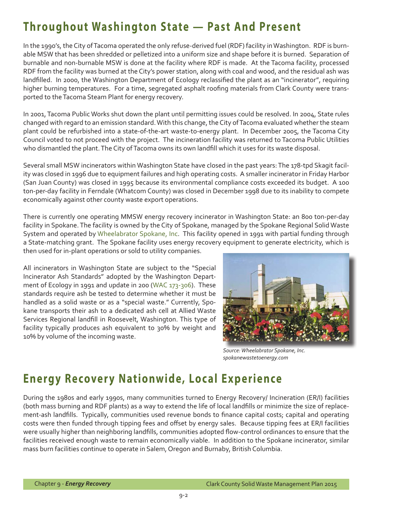### **Throughout Washington State — Past And Present**

In the 1990's, the City of Tacoma operated the only refuse-derived fuel (RDF) facility in Washington. RDF is burnable MSW that has been shredded or pelletized into a uniform size and shape before it is burned. Separation of burnable and non-burnable MSW is done at the facility where RDF is made. At the Tacoma facility, processed RDF from the facility was burned at the City's power station, along with coal and wood, and the residual ash was landfilled. In 2000, the Washington Department of Ecology reclassified the plant as an "incinerator", requiring higher burning temperatures. For a time, segregated asphalt roofing materials from Clark County were transported to the Tacoma Steam Plant for energy recovery.

In 2001, Tacoma Public Works shut down the plant until permitting issues could be resolved. In 2004, State rules changed with regard to an emission standard. With this change, the City of Tacoma evaluated whether the steam plant could be refurbished into a state-of-the-art waste-to-energy plant. In December 2005, the Tacoma City Council voted to not proceed with the project. The incineration facility was returned to Tacoma Public Utilities who dismantled the plant. The City of Tacoma owns its own landfill which it uses for its waste disposal.

Several small MSW incinerators within Washington State have closed in the past years: The 178-tpd Skagit facility was closed in 1996 due to equipment failures and high operating costs. A smaller incinerator in Friday Harbor (San Juan County) was closed in 1995 because its environmental compliance costs exceeded its budget. A 100 ton-per-day facility in Ferndale (Whatcom County) was closed in December 1998 due to its inability to compete economically against other county waste export operations.

There is currently one operating MMSW energy recovery incinerator in Washington State: an 800 ton-per-day facility in Spokane. The facility is owned by the City of Spokane, managed by the Spokane Regional Solid Waste System and operated by [Wheelabrator Spokane, Inc.](http://spokanewastetoenergy.com/Wheelabrator.htm) This facility opened in 1991 with partial funding through a State-matching grant. The Spokane facility uses energy recovery equipment to generate electricity, which is then used for in-plant operations or sold to utility companies.

All incinerators in Washington State are subject to the "Special Incinerator Ash Standards" adopted by the Washington Department of Ecology in 1991 and update in 200 [\(WAC 173-306](http://apps.leg.wa.gov/wac/default.aspx?cite=173-306)). These standards require ash be tested to determine whether it must be handled as a solid waste or as a "special waste." Currently, Spokane transports their ash to a dedicated ash cell at Allied Waste Services Regional landfill in Roosevelt, Washington. This type of facility typically produces ash equivalent to 30% by weight and 10% by volume of the incoming waste.



*Source: Wheelabrator Spokane, Inc. spokanewastetoenergy.com*

### **Energy Recovery Nationwide, Local Experience**

During the 1980s and early 1990s, many communities turned to Energy Recovery/ Incineration (ER/I) facilities (both mass burning and RDF plants) as a way to extend the life of local landfills or minimize the size of replacement-ash landfills. Typically, communities used revenue bonds to finance capital costs; capital and operating costs were then funded through tipping fees and offset by energy sales. Because tipping fees at ER/I facilities were usually higher than neighboring landfills, communities adopted flow-control ordinances to ensure that the facilities received enough waste to remain economically viable. In addition to the Spokane incinerator, similar mass burn facilities continue to operate in Salem, Oregon and Burnaby, British Columbia.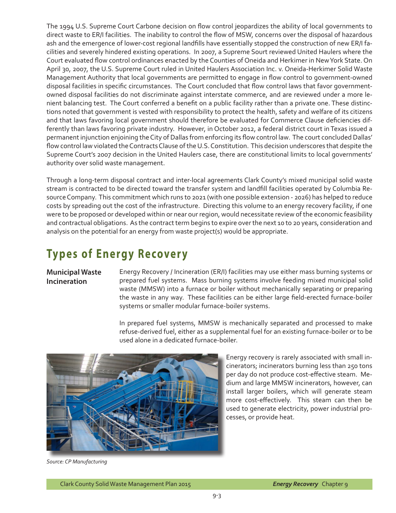The 1994 U.S. Supreme Court Carbone decision on flow control jeopardizes the ability of local governments to direct waste to ER/I facilities. The inability to control the flow of MSW, concerns over the disposal of hazardous ash and the emergence of lower-cost regional landfills have essentially stopped the construction of new ER/I facilities and severely hindered existing operations. In 2007, a Supreme Sourt reviewed United Haulers where the Court evaluated flow control ordinances enacted by the Counties of Oneida and Herkimer in New York State. On April 30, 2007, the U.S. Supreme Court ruled in United Haulers Association Inc. v. Oneida-Herkimer Solid Waste Management Authority that local governments are permitted to engage in flow control to government-owned disposal facilities in specific circumstances. The Court concluded that flow control laws that favor governmentowned disposal facilities do not discriminate against interstate commerce, and are reviewed under a more lenient balancing test. The Court conferred a benefit on a public facility rather than a private one. These distinctions noted that government is vested with responsibility to protect the health, safety and welfare of its citizens and that laws favoring local government should therefore be evaluated for Commerce Clause deficiencies differently than laws favoring private industry. However, in October 2012, a federal district court in Texas issued a permanent injunction enjoining the City of Dallas from enforcing its flow control law. The court concluded Dallas' flow control law violated the Contracts Clause of the U.S. Constitution. This decision underscores that despite the Supreme Court's 2007 decision in the United Haulers case, there are constitutional limits to local governments' authority over solid waste management.

Through a long-term disposal contract and inter-local agreements Clark County's mixed municipal solid waste stream is contracted to be directed toward the transfer system and landfill facilities operated by Columbia Resource Company. This commitment which runs to 2021 (with one possible extension - 2026) has helped to reduce costs by spreading out the cost of the infrastructure. Directing this volume to an energy recovery facility, if one were to be proposed or developed within or near our region, would necessitate review of the economic feasibility and contractual obligations. As the contract term begins to expire over the next 10 to 20 years, consideration and analysis on the potential for an energy from waste project(s) would be appropriate.

# **Types of Energy Recovery**

#### **Municipal Waste Incineration**

Energy Recovery / Incineration (ER/I) facilities may use either mass burning systems or prepared fuel systems. Mass burning systems involve feeding mixed municipal solid waste (MMSW) into a furnace or boiler without mechanically separating or preparing the waste in any way. These facilities can be either large field-erected furnace-boiler systems or smaller modular furnace-boiler systems.

In prepared fuel systems, MMSW is mechanically separated and processed to make refuse-derived fuel, either as a supplemental fuel for an existing furnace-boiler or to be used alone in a dedicated furnace-boiler.



Energy recovery is rarely associated with small incinerators; incinerators burning less than 250 tons per day do not produce cost-effective steam. Medium and large MMSW incinerators, however, can install larger boilers, which will generate steam more cost-effectively. This steam can then be used to generate electricity, power industrial processes, or provide heat.

*Source: CP Manufacturing*